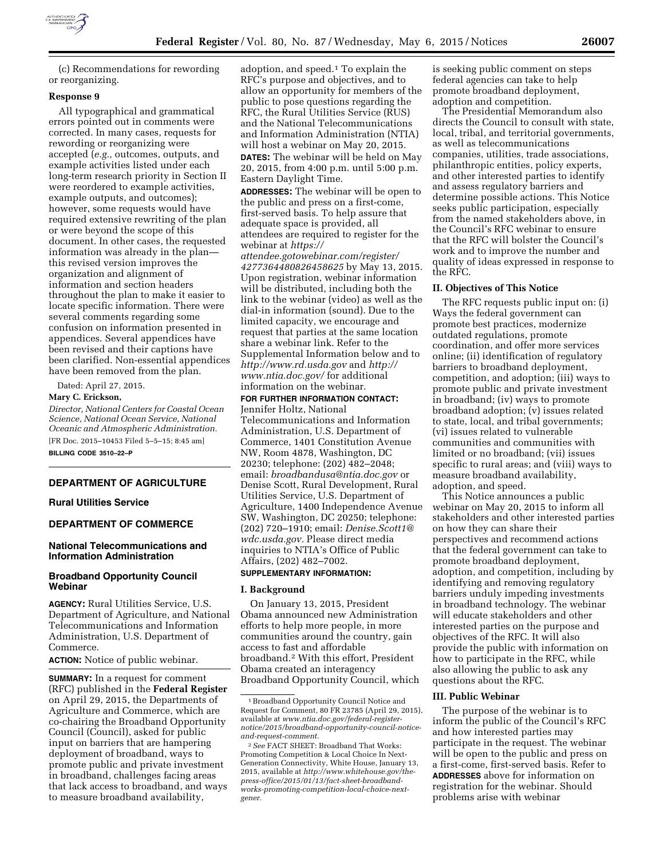

(c) Recommendations for rewording or reorganizing.

## **Response 9**

All typographical and grammatical errors pointed out in comments were corrected. In many cases, requests for rewording or reorganizing were accepted (*e.g.,* outcomes, outputs, and example activities listed under each long-term research priority in Section II were reordered to example activities, example outputs, and outcomes); however, some requests would have required extensive rewriting of the plan or were beyond the scope of this document. In other cases, the requested information was already in the plan this revised version improves the organization and alignment of information and section headers throughout the plan to make it easier to locate specific information. There were several comments regarding some confusion on information presented in appendices. Several appendices have been revised and their captions have been clarified. Non-essential appendices have been removed from the plan.

Dated: April 27, 2015.

## **Mary C. Erickson,**

*Director, National Centers for Coastal Ocean Science, National Ocean Service, National Oceanic and Atmospheric Administration.*  [FR Doc. 2015–10453 Filed 5–5–15; 8:45 am]

**BILLING CODE 3510–22–P** 

# **DEPARTMENT OF AGRICULTURE**

## **Rural Utilities Service**

## **DEPARTMENT OF COMMERCE**

## **National Telecommunications and Information Administration**

## **Broadband Opportunity Council Webinar**

**AGENCY:** Rural Utilities Service, U.S. Department of Agriculture, and National Telecommunications and Information Administration, U.S. Department of Commerce.

**ACTION:** Notice of public webinar.

**SUMMARY:** In a request for comment (RFC) published in the **Federal Register**  on April 29, 2015, the Departments of Agriculture and Commerce, which are co-chairing the Broadband Opportunity Council (Council), asked for public input on barriers that are hampering deployment of broadband, ways to promote public and private investment in broadband, challenges facing areas that lack access to broadband, and ways to measure broadband availability,

adoption, and speed.1 To explain the RFC's purpose and objectives, and to allow an opportunity for members of the public to pose questions regarding the RFC, the Rural Utilities Service (RUS) and the National Telecommunications and Information Administration (NTIA) will host a webinar on May 20, 2015.

**DATES:** The webinar will be held on May 20, 2015, from 4:00 p.m. until 5:00 p.m. Eastern Daylight Time.

**ADDRESSES:** The webinar will be open to the public and press on a first-come, first-served basis. To help assure that adequate space is provided, all attendees are required to register for the webinar at *[https://](https://attendee.gotowebinar.com/register/4277364480826458625) [attendee.gotowebinar.com/register/](https://attendee.gotowebinar.com/register/4277364480826458625) [4277364480826458625](https://attendee.gotowebinar.com/register/4277364480826458625)* by May 13, 2015. Upon registration, webinar information will be distributed, including both the link to the webinar (video) as well as the dial-in information (sound). Due to the limited capacity, we encourage and

request that parties at the same location share a webinar link. Refer to the Supplemental Information below and to *<http://www.rd.usda.gov>*and *[http://](http://www.ntia.doc.gov/) [www.ntia.doc.gov/](http://www.ntia.doc.gov/)* for additional information on the webinar.

**FOR FURTHER INFORMATION CONTACT:** 

Jennifer Holtz, National Telecommunications and Information Administration, U.S. Department of Commerce, 1401 Constitution Avenue NW, Room 4878, Washington, DC 20230; telephone: (202) 482–2048; email: *[broadbandusa@ntia.doc.gov](mailto:broadbandusa@ntia.doc.gov)* or Denise Scott, Rural Development, Rural Utilities Service, U.S. Department of Agriculture, 1400 Independence Avenue SW, Washington, DC 20250; telephone: (202) 720–1910; email: *[Denise.Scott1@](mailto:Denise.Scott1@wdc.usda.gov) [wdc.usda.gov.](mailto:Denise.Scott1@wdc.usda.gov)* Please direct media inquiries to NTIA's Office of Public Affairs, (202) 482–7002.

# **SUPPLEMENTARY INFORMATION:**

### **I. Background**

On January 13, 2015, President Obama announced new Administration efforts to help more people, in more communities around the country, gain access to fast and affordable broadband.2 With this effort, President Obama created an interagency Broadband Opportunity Council, which

is seeking public comment on steps federal agencies can take to help promote broadband deployment, adoption and competition.

The Presidential Memorandum also directs the Council to consult with state, local, tribal, and territorial governments, as well as telecommunications companies, utilities, trade associations, philanthropic entities, policy experts, and other interested parties to identify and assess regulatory barriers and determine possible actions. This Notice seeks public participation, especially from the named stakeholders above, in the Council's RFC webinar to ensure that the RFC will bolster the Council's work and to improve the number and quality of ideas expressed in response to the RFC.

#### **II. Objectives of This Notice**

The RFC requests public input on: (i) Ways the federal government can promote best practices, modernize outdated regulations, promote coordination, and offer more services online; (ii) identification of regulatory barriers to broadband deployment, competition, and adoption; (iii) ways to promote public and private investment in broadband; (iv) ways to promote broadband adoption; (v) issues related to state, local, and tribal governments; (vi) issues related to vulnerable communities and communities with limited or no broadband; (vii) issues specific to rural areas; and (viii) ways to measure broadband availability, adoption, and speed.

This Notice announces a public webinar on May 20, 2015 to inform all stakeholders and other interested parties on how they can share their perspectives and recommend actions that the federal government can take to promote broadband deployment, adoption, and competition, including by identifying and removing regulatory barriers unduly impeding investments in broadband technology. The webinar will educate stakeholders and other interested parties on the purpose and objectives of the RFC. It will also provide the public with information on how to participate in the RFC, while also allowing the public to ask any questions about the RFC.

#### **III. Public Webinar**

The purpose of the webinar is to inform the public of the Council's RFC and how interested parties may participate in the request. The webinar will be open to the public and press on a first-come, first-served basis. Refer to **ADDRESSES** above for information on registration for the webinar. Should problems arise with webinar

<sup>1</sup>Broadband Opportunity Council Notice and Request for Comment, 80 FR 23785 (April 29, 2015), available at *[www.ntia.doc.gov/federal-register](http://www.ntia.doc.gov/federal-register-notice/2015/broadband-opportunity-council-notice-and-request-comment)[notice/2015/broadband-opportunity-council-notice](http://www.ntia.doc.gov/federal-register-notice/2015/broadband-opportunity-council-notice-and-request-comment)[and-request-comment.](http://www.ntia.doc.gov/federal-register-notice/2015/broadband-opportunity-council-notice-and-request-comment)* 

<sup>2</sup>*See* FACT SHEET: Broadband That Works: Promoting Competition & Local Choice In Next-Generation Connectivity, White House, January 13, 2015, available at *[http://www.whitehouse.gov/the](http://www.whitehouse.gov/the-press-office/2015/01/13/fact-sheet-broadband-works-promoting-competition-local-choice-next-gener)[press-office/2015/01/13/fact-sheet-broadband](http://www.whitehouse.gov/the-press-office/2015/01/13/fact-sheet-broadband-works-promoting-competition-local-choice-next-gener)[works-promoting-competition-local-choice-next](http://www.whitehouse.gov/the-press-office/2015/01/13/fact-sheet-broadband-works-promoting-competition-local-choice-next-gener)[gener.](http://www.whitehouse.gov/the-press-office/2015/01/13/fact-sheet-broadband-works-promoting-competition-local-choice-next-gener)*